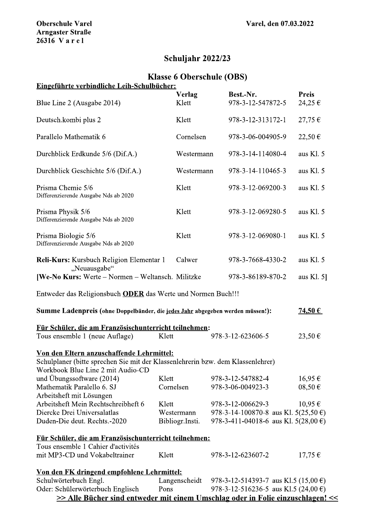## Schuljahr 2022/23

# Klasse 6 Oberschule (OBS)

| <b>Oberschule Varel</b><br><b>Arngaster Straße</b><br>26316 Varel                                                                                                 |                                  |                                                                                                          | Varel, den 07.03.2022  |  |
|-------------------------------------------------------------------------------------------------------------------------------------------------------------------|----------------------------------|----------------------------------------------------------------------------------------------------------|------------------------|--|
|                                                                                                                                                                   | Schuljahr 2022/23                |                                                                                                          |                        |  |
| Eingeführte verbindliche Leih-Schulbücher:                                                                                                                        | <b>Klasse 6 Oberschule (OBS)</b> |                                                                                                          |                        |  |
| Blue Line 2 (Ausgabe 2014)                                                                                                                                        | <b>Verlag</b><br>Klett           | Best.-Nr.<br>978-3-12-547872-5                                                                           | <b>Preis</b><br>24,25€ |  |
| Deutsch.kombi plus 2                                                                                                                                              | Klett                            | 978-3-12-313172-1                                                                                        | 27,75€                 |  |
| Parallelo Mathematik 6                                                                                                                                            | Cornelsen                        | 978-3-06-004905-9                                                                                        | 22,50€                 |  |
| Durchblick Erdkunde 5/6 (Dif.A.)                                                                                                                                  | Westermann                       | 978-3-14-114080-4                                                                                        | aus Kl. 5              |  |
| Durchblick Geschichte 5/6 (Dif.A.)                                                                                                                                | Westermann                       | 978-3-14-110465-3                                                                                        | aus Kl. 5              |  |
| Prisma Chemie 5/6<br>Differenzierende Ausgabe Nds ab 2020                                                                                                         | Klett                            | 978-3-12-069200-3                                                                                        | aus Kl. 5              |  |
| Prisma Physik 5/6<br>Differenzierende Ausgabe Nds ab 2020                                                                                                         | Klett                            | 978-3-12-069280-5                                                                                        | aus Kl. 5              |  |
| Prisma Biologie 5/6<br>Differenzierende Ausgabe Nds ab 2020                                                                                                       | Klett                            | 978-3-12-069080-1                                                                                        | aus Kl. 5              |  |
| Reli-Kurs: Kursbuch Religion Elementar 1                                                                                                                          | Calwer                           | 978-3-7668-4330-2                                                                                        | aus Kl. 5              |  |
| "Neuausgabe"<br>[We-No Kurs: Werte – Normen – Weltansch. Militzke                                                                                                 |                                  | 978-3-86189-870-2                                                                                        | aus Kl. $5$ ]          |  |
| Entweder das Religionsbuch ODER das Werte und Normen Buch!!!                                                                                                      |                                  |                                                                                                          |                        |  |
| Summe Ladenpreis (ohne Doppelbänder, die jedes Jahr abgegeben werden müssen!):                                                                                    |                                  |                                                                                                          | 74,50€                 |  |
| Für Schüler, die am Französischunterricht teilnehmen:<br>Tous ensemble 1 (neue Auflage)                                                                           | Klett                            | 978-3-12-623606-5                                                                                        | 23,50€                 |  |
| Von den Eltern anzuschaffende Lehrmittel:<br>Schulplaner (bitte sprechen Sie mit der Klassenlehrerin bzw. dem Klassenlehrer)<br>Workbook Blue Line 2 mit Audio-CD |                                  |                                                                                                          |                        |  |
| und Übungssoftware $(2014)$                                                                                                                                       | Klett                            | 978-3-12-547882-4                                                                                        | 16,95€                 |  |
| Mathematik Paralello 6. SJ                                                                                                                                        | Cornelsen                        | 978-3-06-004923-3                                                                                        | $08,50 \in$            |  |
| Arbeitsheft mit Lösungen                                                                                                                                          |                                  |                                                                                                          |                        |  |
| Arbeitsheft Mein Rechtschreibheft 6<br>Diercke Drei Universalatlas                                                                                                | Klett<br>Westermann              | 978-3-12-006629-3                                                                                        | 10,95€                 |  |
| Duden-Die deut. Rechts.-2020                                                                                                                                      | Bibliogr.Insti.                  | 978-3-14-100870-8 aus Kl. $5(25,50 \text{ } \epsilon)$<br>978-3-411-04018-6 aus Kl. 5(28,00 $\epsilon$ ) |                        |  |
|                                                                                                                                                                   |                                  |                                                                                                          |                        |  |
| Für Schüler, die am Französischunterricht teilnehmen:                                                                                                             |                                  |                                                                                                          |                        |  |
| Tous ensemble 1 Cahier d'activités<br>mit MP3-CD und Vokabeltrainer                                                                                               | Klett                            | 978-3-12-623607-2                                                                                        | $17,75 \in$            |  |
| Von den FK dringend empfohlene Lehrmittel:                                                                                                                        |                                  |                                                                                                          |                        |  |
| Schulwörterbuch Engl.                                                                                                                                             | Langenscheidt                    | 978-3-12-514393-7 aus Kl.5 (15,00 $\epsilon$ )                                                           |                        |  |
| Oder: Schülerwörterbuch Englisch                                                                                                                                  | Pons                             | 978-3-12-516236-5 aus Kl.5 (24,00 $\epsilon$ )                                                           |                        |  |
| >> Alle Bücher sind entweder mit einem Umschlag oder in Folie einzuschlagen! <<                                                                                   |                                  |                                                                                                          |                        |  |